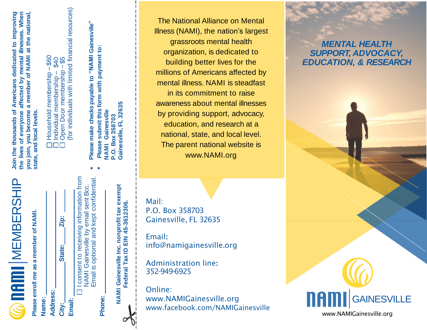$\widehat{\boldsymbol{\omega}}$  new ment be a ship

**Please enroll me as a member of NAMI.**  Please enroll me as a member of NAMI.

|       |                 | Zip:         |        |                                  |
|-------|-----------------|--------------|--------|----------------------------------|
|       |                 | State:       |        | One ant to receiving information |
| Name: | <b>Address:</b> | <b>City:</b> | Email: |                                  |

I consent to receiving information from mation from Email is optional and kept confidential Email is optional and kept confidential. i consent to receiving innormation in<br>NAMI Gainesville by email sent Bcc. NAMI Gainesville by email sent Bcc. **Phone:**

••

> **NAMI Gainesville Inc. nonprofit tax exempt**  NAMI Gainesville Inc. nonprofit tax exempt

**Federal Tax ID EIN 45-3612306.**

Federal Tax ID EIN 45-3612306.

**Gainesville, FL 32635**

Join the thousands of Americans dedicated to improving the lives of everyone affected by mental illnesses. When a member of NAMI at the national, **Join the thousands of Americans dedicated to improving the lives of everyone affected by mental illnesses. When member of NAMI at the national,** you join, you become state, and local levels. **state, and local levels. you join, you become**

(for individuals with limited financial resources) 6 0 – \$40 <u>ය</u> ֚֡֝֬ မာ ဥ – – Open Door membership membership Individual membership Househol d $\Box$  $\Box$  $\Box$ 

**Please make checks payable to "NAMI Gainesville"** Please make checks payable to "NAMI Gainesville" Please submit this form with payment to: **Please submit this form with payment to:** <u> မ</u> Gainesville, FL 3263 Gainesville **NAMI Gainesville** NAMI Gainesvill<br>P.O. Box 358703 **P.O. Box 358703**

The National Alliance on Mental Illness (NAMI), the nation's largest grassroots mental health organization, is dedicated to building better lives for the millions of Americans affected by mental illness. NAMI is steadfast in its commitment to raise awareness about mental illnesses by providing support, advocacy, education, and research at a national, state, and local level. The parent national website is www.NAMI.org

Mail: P.O. Box 358703 Gainesville, FL 32635

Email**:** info@namigainesville.org

Administration line**:** 352-949-6925

Online: www.NAMIGainesville.org www.facebook.com/NAMIGainesville

## *MENTAL HEALTH SUPPORT, ADVOCACY, EDUCATION, & RESEARCH*